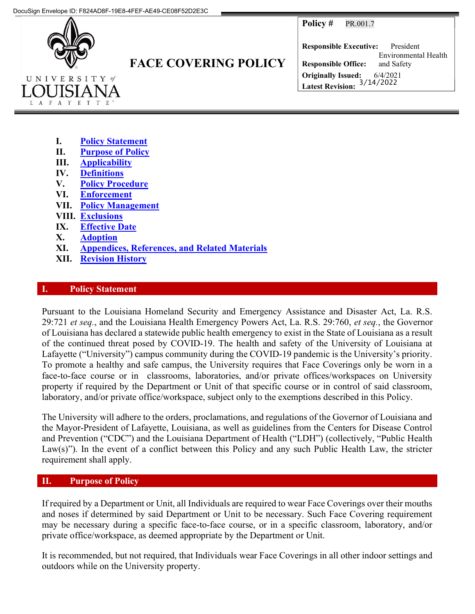**Policy # PR.001.7** 



# FACE COVERING POLICY

Responsible Executive: President Responsible Office: Environmental Health and Safety Originally Issued: 6/4/2021 Latest Revision: 3/14/2022

- I. Policy Statement
- II. Purpose of Policy
- III. Applicability
- IV. Definitions
- V. Policy Procedure
- VI. Enforcement
- VII. Policy Management
- VIII. Exclusions
- IX. Effective Date
- X. Adoption
- XI. Appendices, References, and Related Materials
- XII. Revision History

#### **Policy Statement**

Pursuant to the Louisiana Homeland Security and Emergency Assistance and Disaster Act, La. R.S. 29:721 et seq., and the Louisiana Health Emergency Powers Act, La. R.S. 29:760, et seq., the Governor of Louisiana has declared a statewide public health emergency to exist in the State of Louisiana as a result of the continued threat posed by COVID-19. The health and safety of the University of Louisiana at Lafayette ("University") campus community during the COVID-19 pandemic is the University's priority. To promote a healthy and safe campus, the University requires that Face Coverings only be worn in a face-to-face course or in classrooms, laboratories, and/or private offices/workspaces on University property if required by the Department or Unit of that specific course or in control of said classroom, laboratory, and/or private office/workspace, subject only to the exemptions described in this Policy.

The University will adhere to the orders, proclamations, and regulations of the Governor of Louisiana and the Mayor-President of Lafayette, Louisiana, as well as guidelines from the Centers for Disease Control and Prevention ("CDC") and the Louisiana Department of Health ("LDH") (collectively, "Public Health Law(s)"). In the event of a conflict between this Policy and any such Public Health Law, the stricter requirement shall apply.

# II. Purpose of Policy

If required by a Department or Unit, all Individuals are required to wear Face Coverings over their mouths and noses if determined by said Department or Unit to be necessary. Such Face Covering requirement may be necessary during a specific face-to-face course, or in a specific classroom, laboratory, and/or private office/workspace, as deemed appropriate by the Department or Unit.

It is recommended, but not required, that Individuals wear Face Coverings in all other indoor settings and outdoors while on the University property.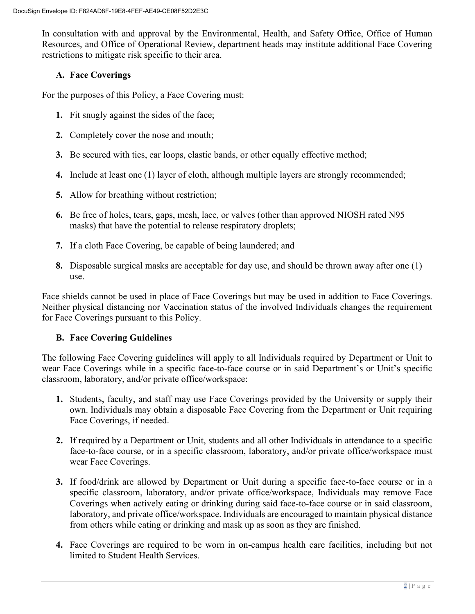In consultation with and approval by the Environmental, Health, and Safety Office, Office of Human Resources, and Office of Operational Review, department heads may institute additional Face Covering restrictions to mitigate risk specific to their area.

# A. Face Coverings

For the purposes of this Policy, a Face Covering must:

- 1. Fit snugly against the sides of the face;
- 2. Completely cover the nose and mouth;
- 3. Be secured with ties, ear loops, elastic bands, or other equally effective method;
- 4. Include at least one (1) layer of cloth, although multiple layers are strongly recommended;
- 5. Allow for breathing without restriction;
- 6. Be free of holes, tears, gaps, mesh, lace, or valves (other than approved NIOSH rated N95 masks) that have the potential to release respiratory droplets;
- 7. If a cloth Face Covering, be capable of being laundered; and
- 8. Disposable surgical masks are acceptable for day use, and should be thrown away after one (1) use.

Face shields cannot be used in place of Face Coverings but may be used in addition to Face Coverings. Neither physical distancing nor Vaccination status of the involved Individuals changes the requirement for Face Coverings pursuant to this Policy.

# B. Face Covering Guidelines

The following Face Covering guidelines will apply to all Individuals required by Department or Unit to wear Face Coverings while in a specific face-to-face course or in said Department's or Unit's specific classroom, laboratory, and/or private office/workspace:

- 1. Students, faculty, and staff may use Face Coverings provided by the University or supply their own. Individuals may obtain a disposable Face Covering from the Department or Unit requiring Face Coverings, if needed.
- 2. If required by a Department or Unit, students and all other Individuals in attendance to a specific face-to-face course, or in a specific classroom, laboratory, and/or private office/workspace must wear Face Coverings.
- 3. If food/drink are allowed by Department or Unit during a specific face-to-face course or in a specific classroom, laboratory, and/or private office/workspace, Individuals may remove Face Coverings when actively eating or drinking during said face-to-face course or in said classroom, laboratory, and private office/workspace. Individuals are encouraged to maintain physical distance from others while eating or drinking and mask up as soon as they are finished.
- 4. Face Coverings are required to be worn in on-campus health care facilities, including but not limited to Student Health Services.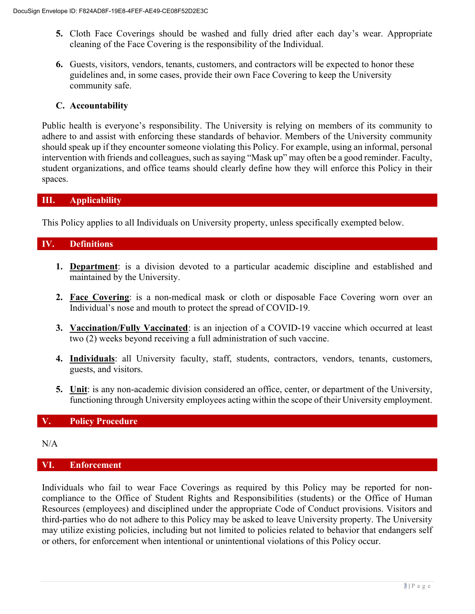- 5. Cloth Face Coverings should be washed and fully dried after each day's wear. Appropriate cleaning of the Face Covering is the responsibility of the Individual.
- 6. Guests, visitors, vendors, tenants, customers, and contractors will be expected to honor these guidelines and, in some cases, provide their own Face Covering to keep the University community safe.

## C. Accountability

Public health is everyone's responsibility. The University is relying on members of its community to adhere to and assist with enforcing these standards of behavior. Members of the University community should speak up if they encounter someone violating this Policy. For example, using an informal, personal intervention with friends and colleagues, such as saying "Mask up" may often be a good reminder. Faculty, student organizations, and office teams should clearly define how they will enforce this Policy in their spaces.

## III. Applicability

This Policy applies to all Individuals on University property, unless specifically exempted below.

## IV. Definitions

- 1. Department: is a division devoted to a particular academic discipline and established and maintained by the University.
- 2. Face Covering: is a non-medical mask or cloth or disposable Face Covering worn over an Individual's nose and mouth to protect the spread of COVID-19.
- 3. Vaccination/Fully Vaccinated: is an injection of a COVID-19 vaccine which occurred at least two (2) weeks beyond receiving a full administration of such vaccine.
- 4. Individuals: all University faculty, staff, students, contractors, vendors, tenants, customers, guests, and visitors.
- 5. Unit: is any non-academic division considered an office, center, or department of the University, functioning through University employees acting within the scope of their University employment.

#### V. Policy Procedure

N/A

#### VI. Enforcement

Individuals who fail to wear Face Coverings as required by this Policy may be reported for noncompliance to the Office of Student Rights and Responsibilities (students) or the Office of Human Resources (employees) and disciplined under the appropriate Code of Conduct provisions. Visitors and third-parties who do not adhere to this Policy may be asked to leave University property. The University may utilize existing policies, including but not limited to policies related to behavior that endangers self or others, for enforcement when intentional or unintentional violations of this Policy occur.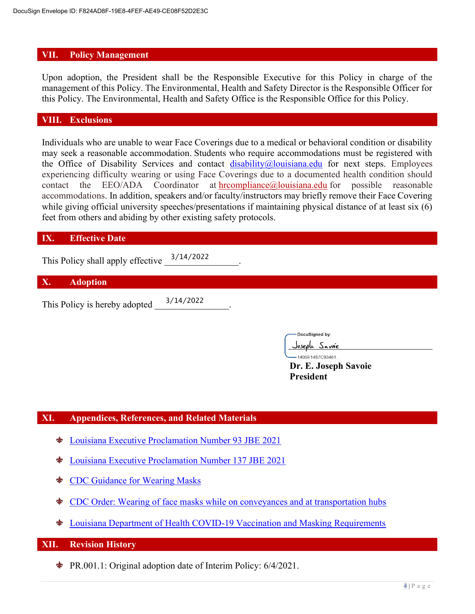#### VII. Policy Management

Upon adoption, the President shall be the Responsible Executive for this Policy in charge of the management of this Policy. The Environmental, Health and Safety Director is the Responsible Officer for this Policy. The Environmental, Health and Safety Office is the Responsible Office for this Policy.

## VIII. Exclusions

Individuals who are unable to wear Face Coverings due to a medical or behavioral condition or disability may seek a reasonable accommodation. Students who require accommodations must be registered with the Office of Disability Services and contact disability@louisiana.edu for next steps. Employees experiencing difficulty wearing or using Face Coverings due to a documented health condition should contact the EEO/ADA Coordinator at hrcompliance@louisiana.edu for possible reasonable accommodations. In addition, speakers and/or faculty/instructors may briefly remove their Face Covering while giving official university speeches/presentations if maintaining physical distance of at least six (6) feet from others and abiding by other existing safety protocols.

#### IX. Effective Date

This Policy shall apply effective  $\frac{3/14/2022}{\cdots}$ .

#### X. Adoption

This Policy is hereby adopted 3/14/2022

DocuSigned by:

\_\_\_\_\_\_\_\_\_\_\_\_\_\_\_\_\_\_\_\_\_\_\_\_\_\_\_\_\_\_\_  $-1405E1487C93461...$ 

Dr. E. Joseph Savoie President

# XI. Appendices, References, and Related Materials

- Louisiana Executive Proclamation Number 93 JBE 2021
- Louisiana Executive Proclamation Number 137 JBE 2021 ♣
- CDC Guidance for Wearing Masks ٩b
- CDC Order: Wearing of face masks while on conveyances and at transportation hubs
- Louisiana Department of Health COVID-19 Vaccination and Masking Requirements  $\bullet$

#### XII. Revision History

PR.001.1: Original adoption date of Interim Policy: 6/4/2021.